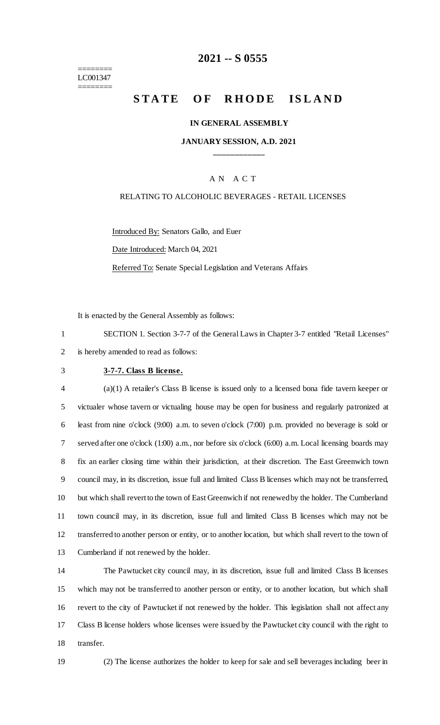======== LC001347 ========

## **-- S 0555**

# **STATE OF RHODE ISLAND**

#### **IN GENERAL ASSEMBLY**

#### **JANUARY SESSION, A.D. 2021 \_\_\_\_\_\_\_\_\_\_\_\_**

#### A N A C T

#### RELATING TO ALCOHOLIC BEVERAGES - RETAIL LICENSES

Introduced By: Senators Gallo, and Euer

Date Introduced: March 04, 2021

Referred To: Senate Special Legislation and Veterans Affairs

It is enacted by the General Assembly as follows:

 SECTION 1. Section 3-7-7 of the General Laws in Chapter 3-7 entitled "Retail Licenses" is hereby amended to read as follows:

#### **3-7-7. Class B license.**

 (a)(1) A retailer's Class B license is issued only to a licensed bona fide tavern keeper or victualer whose tavern or victualing house may be open for business and regularly patronized at least from nine o'clock (9:00) a.m. to seven o'clock (7:00) p.m. provided no beverage is sold or served after one o'clock (1:00) a.m., nor before six o'clock (6:00) a.m. Local licensing boards may fix an earlier closing time within their jurisdiction, at their discretion. The East Greenwich town council may, in its discretion, issue full and limited Class B licenses which may not be transferred, but which shall revert to the town of East Greenwich if not renewed by the holder. The Cumberland town council may, in its discretion, issue full and limited Class B licenses which may not be transferred to another person or entity, or to another location, but which shall revert to the town of Cumberland if not renewed by the holder.

 The Pawtucket city council may, in its discretion, issue full and limited Class B licenses which may not be transferred to another person or entity, or to another location, but which shall revert to the city of Pawtucket if not renewed by the holder. This legislation shall not affect any Class B license holders whose licenses were issued by the Pawtucket city council with the right to transfer.

(2) The license authorizes the holder to keep for sale and sell beverages including beer in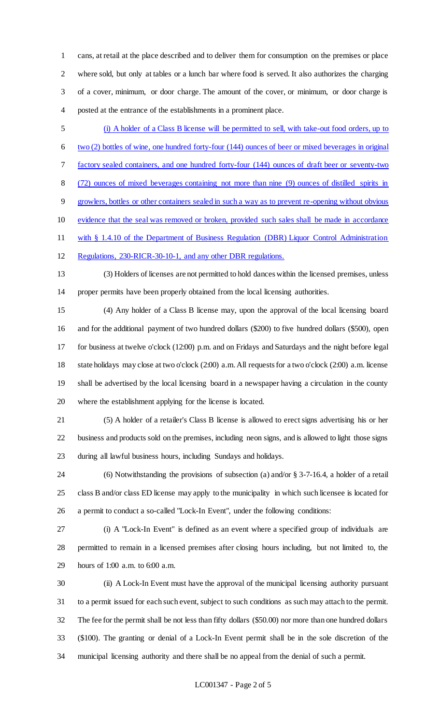cans, at retail at the place described and to deliver them for consumption on the premises or place where sold, but only at tables or a lunch bar where food is served. It also authorizes the charging of a cover, minimum, or door charge. The amount of the cover, or minimum, or door charge is posted at the entrance of the establishments in a prominent place.

 (i) A holder of a Class B license will be permitted to sell, with take-out food orders, up to two (2) bottles of wine, one hundred forty-four (144) ounces of beer or mixed beverages in original factory sealed containers, and one hundred forty-four (144) ounces of draft beer or seventy-two (72) ounces of mixed beverages containing not more than nine (9) ounces of distilled spirits in growlers, bottles or other containers sealed in such a way as to prevent re-opening without obvious evidence that the seal was removed or broken, provided such sales shall be made in accordance with § 1.4.10 of the Department of Business Regulation (DBR) Liquor Control Administration Regulations, 230-RICR-30-10-1, and any other DBR regulations.

 (3) Holders of licenses are not permitted to hold dances within the licensed premises, unless proper permits have been properly obtained from the local licensing authorities.

 (4) Any holder of a Class B license may, upon the approval of the local licensing board and for the additional payment of two hundred dollars (\$200) to five hundred dollars (\$500), open for business at twelve o'clock (12:00) p.m. and on Fridays and Saturdays and the night before legal state holidays may close at two o'clock (2:00) a.m. All requests for a two o'clock (2:00) a.m. license shall be advertised by the local licensing board in a newspaper having a circulation in the county where the establishment applying for the license is located.

 (5) A holder of a retailer's Class B license is allowed to erect signs advertising his or her business and products sold on the premises, including neon signs, and is allowed to light those signs during all lawful business hours, including Sundays and holidays.

 (6) Notwithstanding the provisions of subsection (a) and/or § 3-7-16.4, a holder of a retail class B and/or class ED license may apply to the municipality in which such licensee is located for a permit to conduct a so-called "Lock-In Event", under the following conditions:

 (i) A "Lock-In Event" is defined as an event where a specified group of individuals are permitted to remain in a licensed premises after closing hours including, but not limited to, the hours of 1:00 a.m. to 6:00 a.m.

 (ii) A Lock-In Event must have the approval of the municipal licensing authority pursuant to a permit issued for each such event, subject to such conditions as such may attach to the permit. The fee for the permit shall be not less than fifty dollars (\$50.00) nor more than one hundred dollars (\$100). The granting or denial of a Lock-In Event permit shall be in the sole discretion of the municipal licensing authority and there shall be no appeal from the denial of such a permit.

#### LC001347 - Page 2 of 5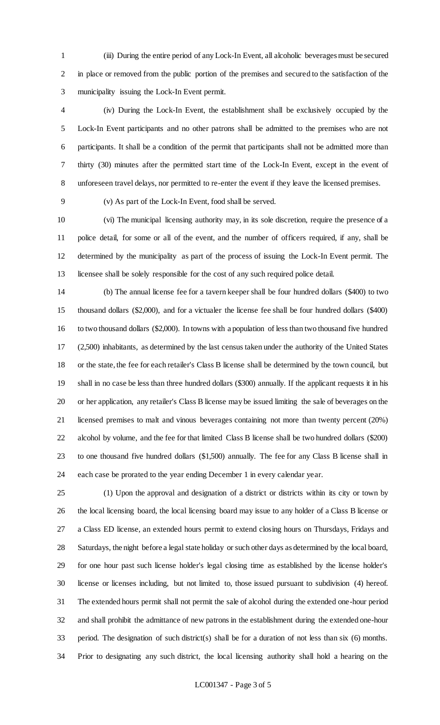(iii) During the entire period of any Lock-In Event, all alcoholic beverages must be secured in place or removed from the public portion of the premises and secured to the satisfaction of the municipality issuing the Lock-In Event permit.

 (iv) During the Lock-In Event, the establishment shall be exclusively occupied by the Lock-In Event participants and no other patrons shall be admitted to the premises who are not participants. It shall be a condition of the permit that participants shall not be admitted more than thirty (30) minutes after the permitted start time of the Lock-In Event, except in the event of unforeseen travel delays, nor permitted to re-enter the event if they leave the licensed premises.

(v) As part of the Lock-In Event, food shall be served.

 (vi) The municipal licensing authority may, in its sole discretion, require the presence of a police detail, for some or all of the event, and the number of officers required, if any, shall be determined by the municipality as part of the process of issuing the Lock-In Event permit. The licensee shall be solely responsible for the cost of any such required police detail.

 (b) The annual license fee for a tavern keeper shall be four hundred dollars (\$400) to two thousand dollars (\$2,000), and for a victualer the license fee shall be four hundred dollars (\$400) to two thousand dollars (\$2,000). In towns with a population of less than two thousand five hundred (2,500) inhabitants, as determined by the last census taken under the authority of the United States or the state, the fee for each retailer's Class B license shall be determined by the town council, but shall in no case be less than three hundred dollars (\$300) annually. If the applicant requests it in his or her application, any retailer's Class B license may be issued limiting the sale of beverages on the licensed premises to malt and vinous beverages containing not more than twenty percent (20%) alcohol by volume, and the fee for that limited Class B license shall be two hundred dollars (\$200) to one thousand five hundred dollars (\$1,500) annually. The fee for any Class B license shall in each case be prorated to the year ending December 1 in every calendar year.

 (1) Upon the approval and designation of a district or districts within its city or town by the local licensing board, the local licensing board may issue to any holder of a Class B license or a Class ED license, an extended hours permit to extend closing hours on Thursdays, Fridays and Saturdays, the night before a legal state holiday or such other days as determined by the local board, for one hour past such license holder's legal closing time as established by the license holder's license or licenses including, but not limited to, those issued pursuant to subdivision (4) hereof. The extended hours permit shall not permit the sale of alcohol during the extended one-hour period and shall prohibit the admittance of new patrons in the establishment during the extended one-hour period. The designation of such district(s) shall be for a duration of not less than six (6) months. Prior to designating any such district, the local licensing authority shall hold a hearing on the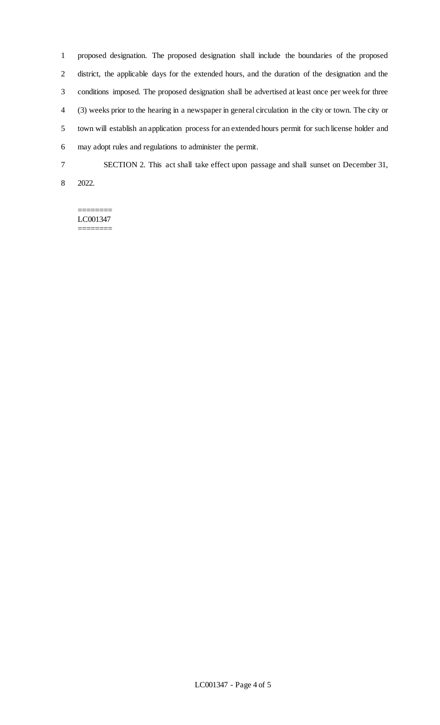proposed designation. The proposed designation shall include the boundaries of the proposed district, the applicable days for the extended hours, and the duration of the designation and the conditions imposed. The proposed designation shall be advertised at least once per week for three (3) weeks prior to the hearing in a newspaper in general circulation in the city or town. The city or town will establish an application process for an extended hours permit for such license holder and may adopt rules and regulations to administer the permit. SECTION 2. This act shall take effect upon passage and shall sunset on December 31,

2022.

======== LC001347 ========